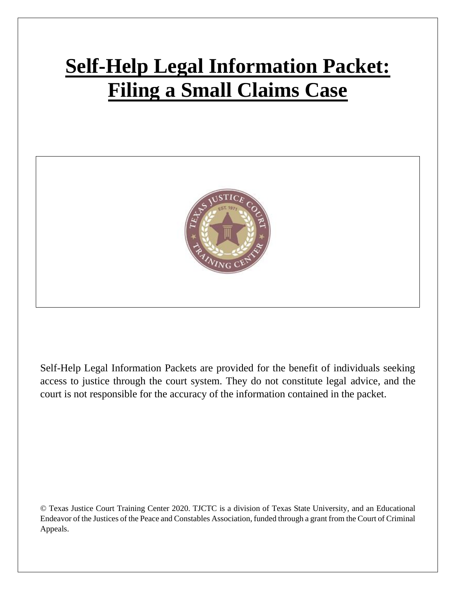# **Self-Help Legal Information Packet: Filing a Small Claims Case**



Self-Help Legal Information Packets are provided for the benefit of individuals seeking access to justice through the court system. They do not constitute legal advice, and the court is not responsible for the accuracy of the information contained in the packet.

© Texas Justice Court Training Center 2020. TJCTC is a division of Texas State University, and an Educational Endeavor of the Justices of the Peace and Constables Association, funded through a grant from the Court of Criminal Appeals.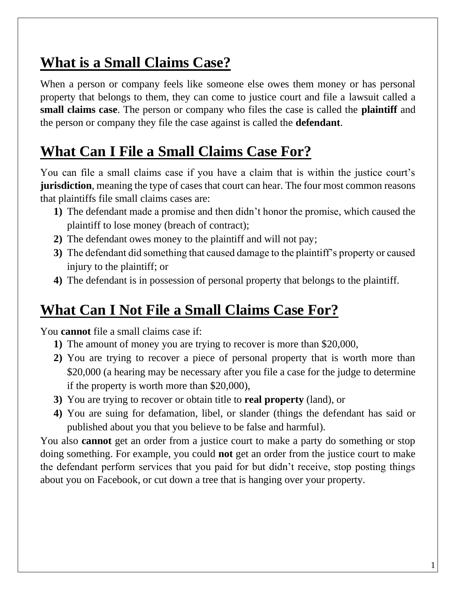#### **What is a Small Claims Case?**

When a person or company feels like someone else owes them money or has personal property that belongs to them, they can come to justice court and file a lawsuit called a **small claims case**. The person or company who files the case is called the **plaintiff** and the person or company they file the case against is called the **defendant**.

# **What Can I File a Small Claims Case For?**

You can file a small claims case if you have a claim that is within the justice court's **jurisdiction**, meaning the type of cases that court can hear. The four most common reasons that plaintiffs file small claims cases are:

- **1)** The defendant made a promise and then didn't honor the promise, which caused the plaintiff to lose money (breach of contract);
- **2)** The defendant owes money to the plaintiff and will not pay;
- **3)** The defendant did something that caused damage to the plaintiff's property or caused injury to the plaintiff; or
- **4)** The defendant is in possession of personal property that belongs to the plaintiff.

# **What Can I Not File a Small Claims Case For?**

You **cannot** file a small claims case if:

- **1)** The amount of money you are trying to recover is more than \$20,000,
- **2)** You are trying to recover a piece of personal property that is worth more than \$20,000 (a hearing may be necessary after you file a case for the judge to determine if the property is worth more than \$20,000),
- **3)** You are trying to recover or obtain title to **real property** (land), or
- **4)** You are suing for defamation, libel, or slander (things the defendant has said or published about you that you believe to be false and harmful).

You also **cannot** get an order from a justice court to make a party do something or stop doing something. For example, you could **not** get an order from the justice court to make the defendant perform services that you paid for but didn't receive, stop posting things about you on Facebook, or cut down a tree that is hanging over your property.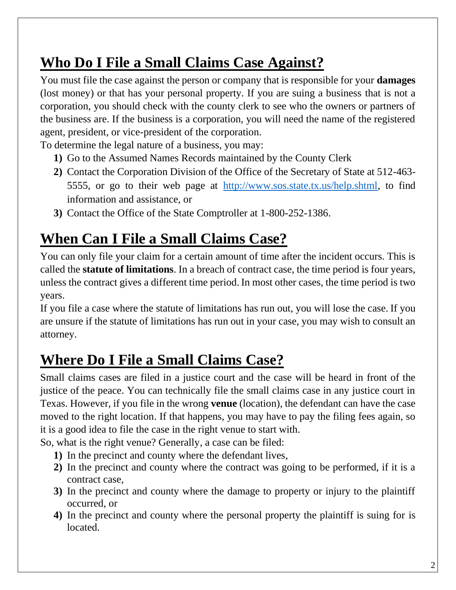# **Who Do I File a Small Claims Case Against?**

You must file the case against the person or company that is responsible for your **damages** (lost money) or that has your personal property. If you are suing a business that is not a corporation, you should check with the county clerk to see who the owners or partners of the business are. If the business is a corporation, you will need the name of the registered agent, president, or vice-president of the corporation.

To determine the legal nature of a business, you may:

- **1)** Go to the Assumed Names Records maintained by the County Clerk
- **2)** Contact the Corporation Division of the Office of the Secretary of State at 512-463- 5555, or go to their web page at [http://www.sos.state.tx.us/help.shtml,](http://www.sos.state.tx.us/help.shtml) to find information and assistance, or
- **3)** Contact the Office of the State Comptroller at 1-800-252-1386.

# **When Can I File a Small Claims Case?**

You can only file your claim for a certain amount of time after the incident occurs. This is called the **statute of limitations**. In a breach of contract case, the time period is four years, unless the contract gives a different time period. In most other cases, the time period is two years.

If you file a case where the statute of limitations has run out, you will lose the case. If you are unsure if the statute of limitations has run out in your case, you may wish to consult an attorney.

# **Where Do I File a Small Claims Case?**

Small claims cases are filed in a justice court and the case will be heard in front of the justice of the peace. You can technically file the small claims case in any justice court in Texas. However, if you file in the wrong **venue** (location), the defendant can have the case moved to the right location. If that happens, you may have to pay the filing fees again, so it is a good idea to file the case in the right venue to start with.

So, what is the right venue? Generally, a case can be filed:

- **1)** In the precinct and county where the defendant lives,
- **2)** In the precinct and county where the contract was going to be performed, if it is a contract case,
- **3)** In the precinct and county where the damage to property or injury to the plaintiff occurred, or
- **4)** In the precinct and county where the personal property the plaintiff is suing for is located.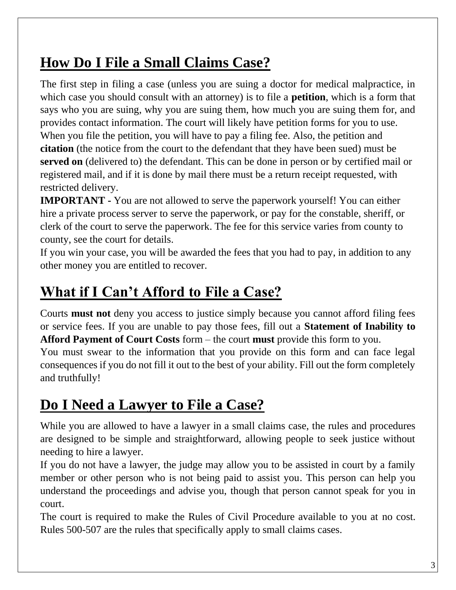## **How Do I File a Small Claims Case?**

The first step in filing a case (unless you are suing a doctor for medical malpractice, in which case you should consult with an attorney) is to file a **petition**, which is a form that says who you are suing, why you are suing them, how much you are suing them for, and provides contact information. The court will likely have petition forms for you to use. When you file the petition, you will have to pay a filing fee. Also, the petition and **citation** (the notice from the court to the defendant that they have been sued) must be **served on** (delivered to) the defendant. This can be done in person or by certified mail or registered mail, and if it is done by mail there must be a return receipt requested, with restricted delivery.

**IMPORTANT -** You are not allowed to serve the paperwork yourself! You can either hire a private process server to serve the paperwork, or pay for the constable, sheriff, or clerk of the court to serve the paperwork. The fee for this service varies from county to county, see the court for details.

If you win your case, you will be awarded the fees that you had to pay, in addition to any other money you are entitled to recover.

## **What if I Can't Afford to File a Case?**

Courts **must not** deny you access to justice simply because you cannot afford filing fees or service fees. If you are unable to pay those fees, fill out a **Statement of Inability to Afford Payment of Court Costs** form – the court **must** provide this form to you.

You must swear to the information that you provide on this form and can face legal consequences if you do not fill it out to the best of your ability. Fill out the form completely and truthfully!

## **Do I Need a Lawyer to File a Case?**

While you are allowed to have a lawyer in a small claims case, the rules and procedures are designed to be simple and straightforward, allowing people to seek justice without needing to hire a lawyer.

If you do not have a lawyer, the judge may allow you to be assisted in court by a family member or other person who is not being paid to assist you. This person can help you understand the proceedings and advise you, though that person cannot speak for you in court.

The court is required to make the Rules of Civil Procedure available to you at no cost. Rules 500-507 are the rules that specifically apply to small claims cases.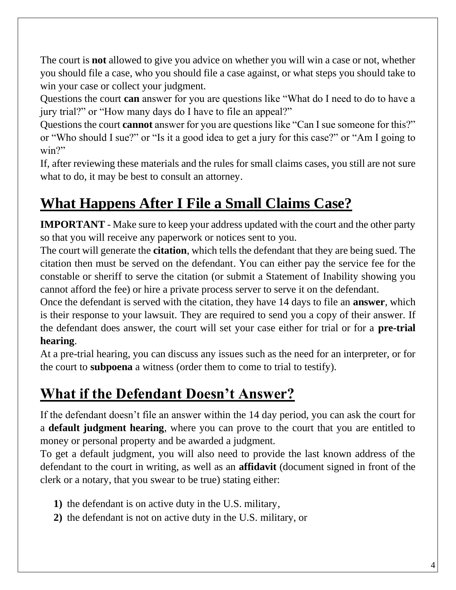The court is **not** allowed to give you advice on whether you will win a case or not, whether you should file a case, who you should file a case against, or what steps you should take to win your case or collect your judgment.

Questions the court **can** answer for you are questions like "What do I need to do to have a jury trial?" or "How many days do I have to file an appeal?"

Questions the court **cannot** answer for you are questions like "Can I sue someone for this?" or "Who should I sue?" or "Is it a good idea to get a jury for this case?" or "Am I going to win?"

If, after reviewing these materials and the rules for small claims cases, you still are not sure what to do, it may be best to consult an attorney.

#### **What Happens After I File a Small Claims Case?**

**IMPORTANT** - Make sure to keep your address updated with the court and the other party so that you will receive any paperwork or notices sent to you.

The court will generate the **citation**, which tells the defendant that they are being sued. The citation then must be served on the defendant. You can either pay the service fee for the constable or sheriff to serve the citation (or submit a Statement of Inability showing you cannot afford the fee) or hire a private process server to serve it on the defendant.

Once the defendant is served with the citation, they have 14 days to file an **answer**, which is their response to your lawsuit. They are required to send you a copy of their answer. If the defendant does answer, the court will set your case either for trial or for a **pre-trial hearing**.

At a pre-trial hearing, you can discuss any issues such as the need for an interpreter, or for the court to **subpoena** a witness (order them to come to trial to testify).

# **What if the Defendant Doesn't Answer?**

If the defendant doesn't file an answer within the 14 day period, you can ask the court for a **default judgment hearing**, where you can prove to the court that you are entitled to money or personal property and be awarded a judgment.

To get a default judgment, you will also need to provide the last known address of the defendant to the court in writing, as well as an **affidavit** (document signed in front of the clerk or a notary, that you swear to be true) stating either:

- **1)** the defendant is on active duty in the U.S. military,
- **2)** the defendant is not on active duty in the U.S. military, or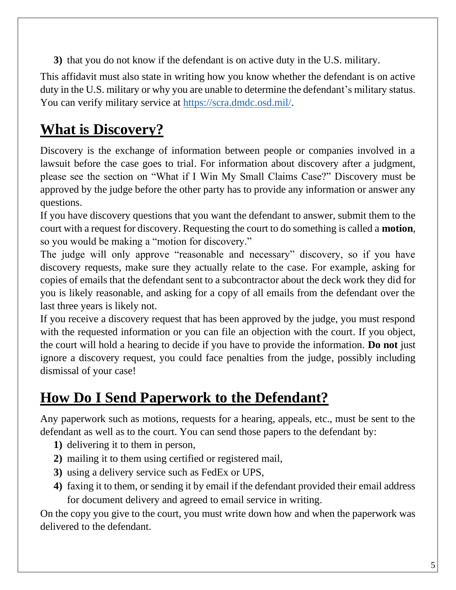**3)** that you do not know if the defendant is on active duty in the U.S. military.

This affidavit must also state in writing how you know whether the defendant is on active duty in the U.S. military or why you are unable to determine the defendant's military status. You can verify military service at [https://scra.dmdc.osd.mil/.](https://scra.dmdc.osd.mil/)

# **What is Discovery?**

Discovery is the exchange of information between people or companies involved in a lawsuit before the case goes to trial. For information about discovery after a judgment, please see the section on "What if I Win My Small Claims Case?" Discovery must be approved by the judge before the other party has to provide any information or answer any questions.

If you have discovery questions that you want the defendant to answer, submit them to the court with a request for discovery. Requesting the court to do something is called a **motion**, so you would be making a "motion for discovery."

The judge will only approve "reasonable and necessary" discovery, so if you have discovery requests, make sure they actually relate to the case. For example, asking for copies of emails that the defendant sent to a subcontractor about the deck work they did for you is likely reasonable, and asking for a copy of all emails from the defendant over the last three years is likely not.

If you receive a discovery request that has been approved by the judge, you must respond with the requested information or you can file an objection with the court. If you object, the court will hold a hearing to decide if you have to provide the information. **Do not** just ignore a discovery request, you could face penalties from the judge, possibly including dismissal of your case!

# **How Do I Send Paperwork to the Defendant?**

Any paperwork such as motions, requests for a hearing, appeals, etc., must be sent to the defendant as well as to the court. You can send those papers to the defendant by:

- **1)** delivering it to them in person,
- **2)** mailing it to them using certified or registered mail,
- **3)** using a delivery service such as FedEx or UPS,
- **4)** faxing it to them, or sending it by email if the defendant provided their email address for document delivery and agreed to email service in writing.

On the copy you give to the court, you must write down how and when the paperwork was delivered to the defendant.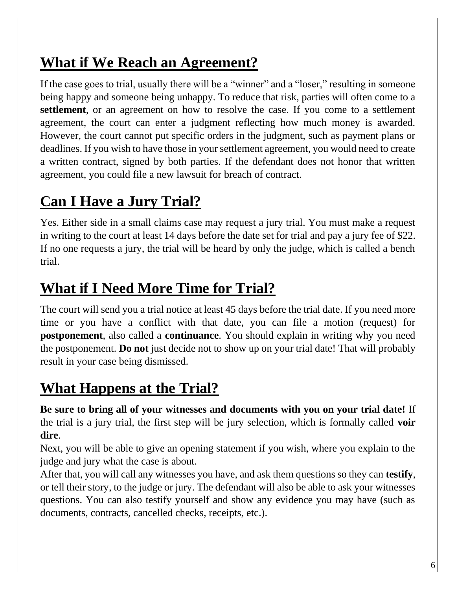#### **What if We Reach an Agreement?**

If the case goes to trial, usually there will be a "winner" and a "loser," resulting in someone being happy and someone being unhappy. To reduce that risk, parties will often come to a **settlement**, or an agreement on how to resolve the case. If you come to a settlement agreement, the court can enter a judgment reflecting how much money is awarded. However, the court cannot put specific orders in the judgment, such as payment plans or deadlines. If you wish to have those in your settlement agreement, you would need to create a written contract, signed by both parties. If the defendant does not honor that written agreement, you could file a new lawsuit for breach of contract.

#### **Can I Have a Jury Trial?**

Yes. Either side in a small claims case may request a jury trial. You must make a request in writing to the court at least 14 days before the date set for trial and pay a jury fee of \$22. If no one requests a jury, the trial will be heard by only the judge, which is called a bench trial.

#### **What if I Need More Time for Trial?**

The court will send you a trial notice at least 45 days before the trial date. If you need more time or you have a conflict with that date, you can file a motion (request) for **postponement**, also called a **continuance**. You should explain in writing why you need the postponement. **Do not** just decide not to show up on your trial date! That will probably result in your case being dismissed.

#### **What Happens at the Trial?**

**Be sure to bring all of your witnesses and documents with you on your trial date!** If the trial is a jury trial, the first step will be jury selection, which is formally called **voir dire**.

Next, you will be able to give an opening statement if you wish, where you explain to the judge and jury what the case is about.

After that, you will call any witnesses you have, and ask them questions so they can **testify**, or tell their story, to the judge or jury. The defendant will also be able to ask your witnesses questions. You can also testify yourself and show any evidence you may have (such as documents, contracts, cancelled checks, receipts, etc.).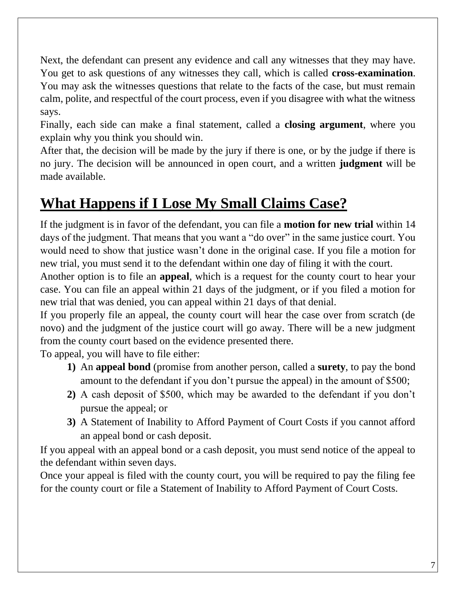Next, the defendant can present any evidence and call any witnesses that they may have. You get to ask questions of any witnesses they call, which is called **cross-examination**. You may ask the witnesses questions that relate to the facts of the case, but must remain calm, polite, and respectful of the court process, even if you disagree with what the witness says.

Finally, each side can make a final statement, called a **closing argument**, where you explain why you think you should win.

After that, the decision will be made by the jury if there is one, or by the judge if there is no jury. The decision will be announced in open court, and a written **judgment** will be made available.

#### **What Happens if I Lose My Small Claims Case?**

If the judgment is in favor of the defendant, you can file a **motion for new trial** within 14 days of the judgment. That means that you want a "do over" in the same justice court. You would need to show that justice wasn't done in the original case. If you file a motion for new trial, you must send it to the defendant within one day of filing it with the court.

Another option is to file an **appeal**, which is a request for the county court to hear your case. You can file an appeal within 21 days of the judgment, or if you filed a motion for new trial that was denied, you can appeal within 21 days of that denial.

If you properly file an appeal, the county court will hear the case over from scratch (de novo) and the judgment of the justice court will go away. There will be a new judgment from the county court based on the evidence presented there.

To appeal, you will have to file either:

- **1)** An **appeal bond** (promise from another person, called a **surety**, to pay the bond amount to the defendant if you don't pursue the appeal) in the amount of \$500;
- **2)** A cash deposit of \$500, which may be awarded to the defendant if you don't pursue the appeal; or
- **3)** A Statement of Inability to Afford Payment of Court Costs if you cannot afford an appeal bond or cash deposit.

If you appeal with an appeal bond or a cash deposit, you must send notice of the appeal to the defendant within seven days.

Once your appeal is filed with the county court, you will be required to pay the filing fee for the county court or file a Statement of Inability to Afford Payment of Court Costs.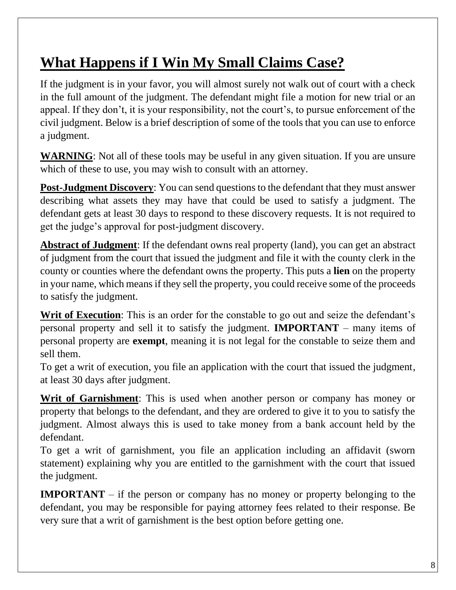# **What Happens if I Win My Small Claims Case?**

If the judgment is in your favor, you will almost surely not walk out of court with a check in the full amount of the judgment. The defendant might file a motion for new trial or an appeal. If they don't, it is your responsibility, not the court's, to pursue enforcement of the civil judgment. Below is a brief description of some of the tools that you can use to enforce a judgment.

**WARNING**: Not all of these tools may be useful in any given situation. If you are unsure which of these to use, you may wish to consult with an attorney.

**Post-Judgment Discovery:** You can send questions to the defendant that they must answer describing what assets they may have that could be used to satisfy a judgment. The defendant gets at least 30 days to respond to these discovery requests. It is not required to get the judge's approval for post-judgment discovery.

**Abstract of Judgment**: If the defendant owns real property (land), you can get an abstract of judgment from the court that issued the judgment and file it with the county clerk in the county or counties where the defendant owns the property. This puts a **lien** on the property in your name, which means if they sell the property, you could receive some of the proceeds to satisfy the judgment.

**Writ of Execution**: This is an order for the constable to go out and seize the defendant's personal property and sell it to satisfy the judgment. **IMPORTANT** – many items of personal property are **exempt**, meaning it is not legal for the constable to seize them and sell them.

To get a writ of execution, you file an application with the court that issued the judgment, at least 30 days after judgment.

**Writ of Garnishment**: This is used when another person or company has money or property that belongs to the defendant, and they are ordered to give it to you to satisfy the judgment. Almost always this is used to take money from a bank account held by the defendant.

To get a writ of garnishment, you file an application including an affidavit (sworn statement) explaining why you are entitled to the garnishment with the court that issued the judgment.

**IMPORTANT** – if the person or company has no money or property belonging to the defendant, you may be responsible for paying attorney fees related to their response. Be very sure that a writ of garnishment is the best option before getting one.